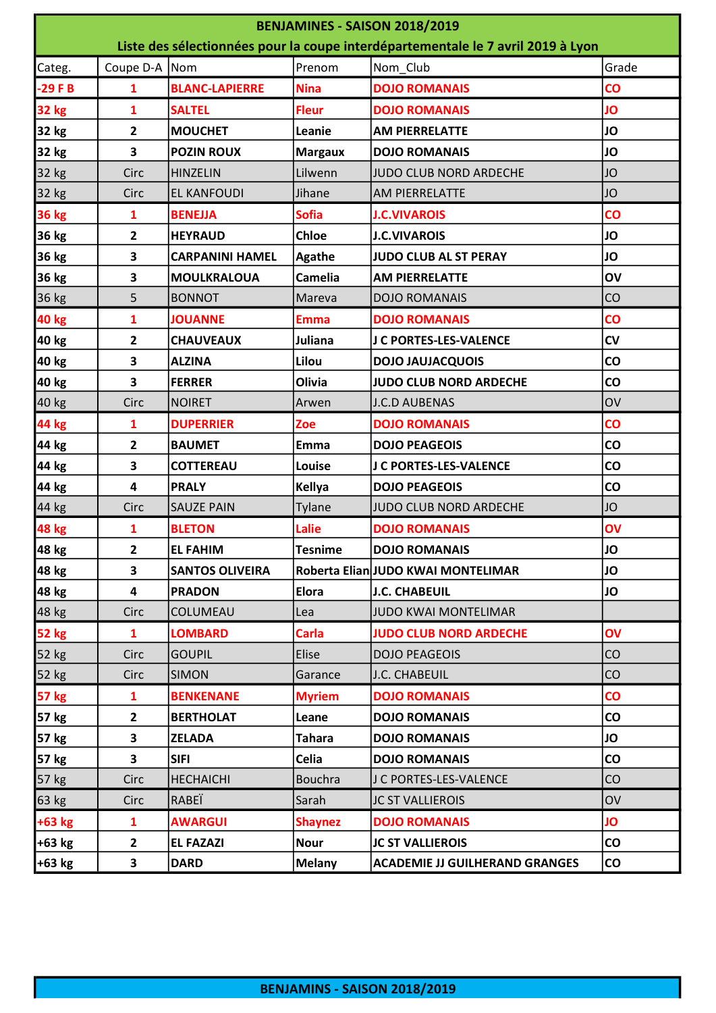| BENJAMINES - SAISON 2018/2019                                                    |                         |                        |                |                                       |                 |  |  |  |
|----------------------------------------------------------------------------------|-------------------------|------------------------|----------------|---------------------------------------|-----------------|--|--|--|
| Liste des sélectionnées pour la coupe interdépartementale le 7 avril 2019 à Lyon |                         |                        |                |                                       |                 |  |  |  |
| Categ.                                                                           | Coupe D-A               | Nom                    | Prenom         | Nom_Club                              | Grade           |  |  |  |
| $-29FB$                                                                          | $\mathbf{1}$            | <b>BLANC-LAPIERRE</b>  | <b>Nina</b>    | <b>DOJO ROMANAIS</b>                  | $\overline{c}$  |  |  |  |
| <b>32 kg</b>                                                                     | $\mathbf{1}$            | <b>SALTEL</b>          | <b>Fleur</b>   | <b>DOJO ROMANAIS</b>                  | JO              |  |  |  |
| 32 kg                                                                            | $\overline{2}$          | <b>MOUCHET</b>         | Leanie         | <b>AM PIERRELATTE</b>                 | JO              |  |  |  |
| 32 kg                                                                            | $\overline{\mathbf{3}}$ | <b>POZIN ROUX</b>      | <b>Margaux</b> | <b>DOJO ROMANAIS</b>                  | <b>JO</b>       |  |  |  |
| 32 kg                                                                            | Circ                    | <b>HINZELIN</b>        | Lilwenn        | JUDO CLUB NORD ARDECHE                | <b>JO</b>       |  |  |  |
| 32 kg                                                                            | Circ                    | <b>EL KANFOUDI</b>     | Jihane         | <b>AM PIERRELATTE</b>                 | JO              |  |  |  |
| <b>36 kg</b>                                                                     | 1                       | <b>BENEJJA</b>         | <b>Sofia</b>   | <b>J.C.VIVAROIS</b>                   | $\overline{c}$  |  |  |  |
| 36 kg                                                                            | $\mathbf{2}$            | <b>HEYRAUD</b>         | <b>Chloe</b>   | <b>J.C.VIVAROIS</b>                   | JO              |  |  |  |
| 36 kg                                                                            | 3                       | <b>CARPANINI HAMEL</b> | <b>Agathe</b>  | JUDO CLUB AL ST PERAY                 | JO              |  |  |  |
| 36 kg                                                                            | 3                       | <b>MOULKRALOUA</b>     | <b>Camelia</b> | <b>AM PIERRELATTE</b>                 | OV              |  |  |  |
| 36 kg                                                                            | 5                       | <b>BONNOT</b>          | Mareva         | <b>DOJO ROMANAIS</b>                  | CO              |  |  |  |
| <b>40 kg</b>                                                                     | $\mathbf{1}$            | <b>JOUANNE</b>         | <b>Emma</b>    | <b>DOJO ROMANAIS</b>                  | $\overline{c}$  |  |  |  |
| 40 kg                                                                            | $\overline{2}$          | <b>CHAUVEAUX</b>       | Juliana        | J C PORTES-LES-VALENCE                | <b>CV</b>       |  |  |  |
| 40 kg                                                                            | 3                       | <b>ALZINA</b>          | Lilou          | <b>DOJO JAUJACQUOIS</b>               | CO              |  |  |  |
| 40 kg                                                                            | 3                       | <b>FERRER</b>          | Olivia         | JUDO CLUB NORD ARDECHE                | CO              |  |  |  |
| 40 kg                                                                            | Circ                    | <b>NOIRET</b>          | Arwen          | <b>J.C.D AUBENAS</b>                  | OV              |  |  |  |
| <b>44 kg</b>                                                                     | 1                       | <b>DUPERRIER</b>       | Zoe            | <b>DOJO ROMANAIS</b>                  | $\overline{c}$  |  |  |  |
| 44 kg                                                                            | $\overline{2}$          | <b>BAUMET</b>          | Emma           | <b>DOJO PEAGEOIS</b>                  | CO              |  |  |  |
| 44 kg                                                                            | 3                       | <b>COTTEREAU</b>       | Louise         | J C PORTES-LES-VALENCE                | CO              |  |  |  |
| 44 kg                                                                            | $\overline{\mathbf{4}}$ | <b>PRALY</b>           | Kellya         | <b>DOJO PEAGEOIS</b>                  | CO              |  |  |  |
| 44 kg                                                                            | Circ                    | <b>SAUZE PAIN</b>      | Tylane         | JUDO CLUB NORD ARDECHE                | JO              |  |  |  |
| <b>48 kg</b>                                                                     | 1                       | <b>BLETON</b>          | Lalie          | <b>DOJO ROMANAIS</b>                  | OV              |  |  |  |
| 48 kg                                                                            | 2                       | <b>EL FAHIM</b>        | Tesnime        | <b>DOJO ROMANAIS</b>                  | JO              |  |  |  |
| 48 kg                                                                            | 3                       | <b>SANTOS OLIVEIRA</b> |                | Roberta Elian JUDO KWAI MONTELIMAR    | JO              |  |  |  |
| 48 kg                                                                            | $\overline{\mathbf{4}}$ | <b>PRADON</b>          | Elora          | <b>J.C. CHABEUIL</b>                  | <b>JO</b>       |  |  |  |
| 48 kg                                                                            | Circ                    | COLUMEAU               | Lea            | JUDO KWAI MONTELIMAR                  |                 |  |  |  |
| <b>52 kg</b>                                                                     | $\mathbf{1}$            | <b>LOMBARD</b>         | Carla          | <b>JUDO CLUB NORD ARDECHE</b>         | OV              |  |  |  |
| 52 kg                                                                            | Circ                    | <b>GOUPIL</b>          | Elise          | <b>DOJO PEAGEOIS</b>                  | CO              |  |  |  |
| 52 kg                                                                            | Circ                    | <b>SIMON</b>           | Garance        | J.C. CHABEUIL                         | CO              |  |  |  |
| <b>57 kg</b>                                                                     | $\mathbf{1}$            | <b>BENKENANE</b>       | <b>Myriem</b>  | <b>DOJO ROMANAIS</b>                  | $\overline{c}$  |  |  |  |
| 57 kg                                                                            | $\mathbf{2}$            | <b>BERTHOLAT</b>       | Leane          | <b>DOJO ROMANAIS</b>                  | $\mathsf{co}\,$ |  |  |  |
| 57 kg                                                                            | 3                       | <b>ZELADA</b>          | <b>Tahara</b>  | <b>DOJO ROMANAIS</b>                  | JO              |  |  |  |
| 57 kg                                                                            | 3                       | <b>SIFI</b>            | Celia          | <b>DOJO ROMANAIS</b>                  | CO              |  |  |  |
| 57 kg                                                                            | Circ                    | <b>HECHAICHI</b>       | <b>Bouchra</b> | J C PORTES-LES-VALENCE                | <b>CO</b>       |  |  |  |
| 63 kg                                                                            | Circ                    | RABEÏ                  | Sarah          | <b>JC ST VALLIEROIS</b>               | OV              |  |  |  |
| $+63$ kg                                                                         | 1                       | <b>AWARGUI</b>         | <b>Shaynez</b> | <b>DOJO ROMANAIS</b>                  | JO              |  |  |  |
| $+63$ kg                                                                         | $\overline{2}$          | <b>EL FAZAZI</b>       | <b>Nour</b>    | <b>JC ST VALLIEROIS</b>               | <b>CO</b>       |  |  |  |
| $+63$ kg                                                                         | 3                       | <b>DARD</b>            | <b>Melany</b>  | <b>ACADEMIE JJ GUILHERAND GRANGES</b> | <b>CO</b>       |  |  |  |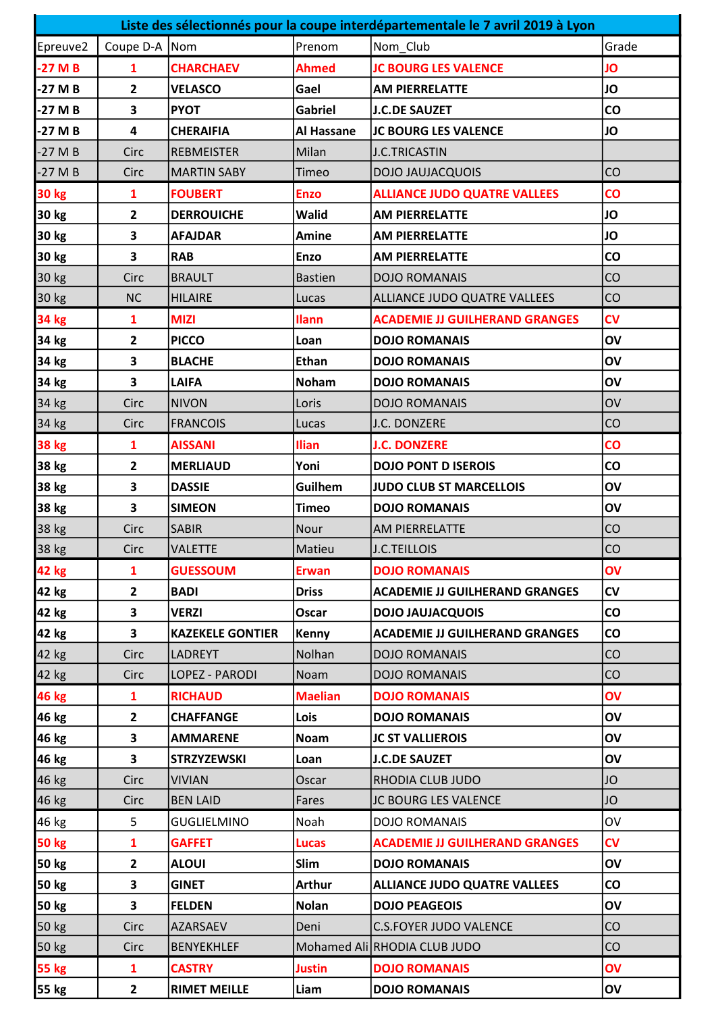| Liste des sélectionnés pour la coupe interdépartementale le 7 avril 2019 à Lyon |                |                         |                |                                       |                        |  |  |
|---------------------------------------------------------------------------------|----------------|-------------------------|----------------|---------------------------------------|------------------------|--|--|
| Epreuve2                                                                        | Coupe D-A Nom  |                         | Prenom         | Nom_Club                              | Grade                  |  |  |
| $-27MB$                                                                         | $\mathbf{1}$   | <b>CHARCHAEV</b>        | <b>Ahmed</b>   | <b>JC BOURG LES VALENCE</b>           | JO                     |  |  |
| $-27M_B$                                                                        | $\overline{2}$ | <b>VELASCO</b>          | Gael           | <b>AM PIERRELATTE</b>                 | JO                     |  |  |
| -27 M B                                                                         | 3              | <b>PYOT</b>             | <b>Gabriel</b> | <b>J.C.DE SAUZET</b>                  | CO                     |  |  |
| -27 M B                                                                         | 4              | <b>CHERAIFIA</b>        | Al Hassane     | <b>JC BOURG LES VALENCE</b>           | JO                     |  |  |
| $-27M$ B                                                                        | Circ           | <b>REBMEISTER</b>       | Milan          | <b>J.C.TRICASTIN</b>                  |                        |  |  |
| $-27M$ B                                                                        | Circ           | <b>MARTIN SABY</b>      | Timeo          | <b>DOJO JAUJACQUOIS</b>               | CO                     |  |  |
| <b>30 kg</b>                                                                    | 1              | <b>FOUBERT</b>          | <b>Enzo</b>    | <b>ALLIANCE JUDO QUATRE VALLEES</b>   | $\overline{c}$         |  |  |
| 30 kg                                                                           | $\mathbf{2}$   | <b>DERROUICHE</b>       | Walid          | <b>AM PIERRELATTE</b>                 | JO                     |  |  |
| 30 kg                                                                           | 3              | <b>AFAJDAR</b>          | <b>Amine</b>   | <b>AM PIERRELATTE</b>                 | JO                     |  |  |
| 30 kg                                                                           | 3              | <b>RAB</b>              | <b>Enzo</b>    | <b>AM PIERRELATTE</b>                 | $\mathsf{co}\,$        |  |  |
| 30 kg                                                                           | Circ           | <b>BRAULT</b>           | Bastien        | <b>DOJO ROMANAIS</b>                  | CO                     |  |  |
| 30 kg                                                                           | <b>NC</b>      | <b>HILAIRE</b>          | Lucas          | ALLIANCE JUDO QUATRE VALLEES          | CO                     |  |  |
| <b>34 kg</b>                                                                    | 1              | <b>MIZI</b>             | <b>Ilann</b>   | <b>ACADEMIE JJ GUILHERAND GRANGES</b> | <b>CV</b>              |  |  |
| 34 kg                                                                           | $\mathbf{2}$   | <b>PICCO</b>            | Loan           | <b>DOJO ROMANAIS</b>                  | OV                     |  |  |
| 34 kg                                                                           | 3              | <b>BLACHE</b>           | <b>Ethan</b>   | <b>DOJO ROMANAIS</b>                  | OV                     |  |  |
| 34 kg                                                                           | 3              | <b>LAIFA</b>            | <b>Noham</b>   | <b>DOJO ROMANAIS</b>                  | OV                     |  |  |
| 34 kg                                                                           | Circ           | <b>NIVON</b>            | Loris          | <b>DOJO ROMANAIS</b>                  | OV                     |  |  |
| 34 kg                                                                           | Circ           | <b>FRANCOIS</b>         | Lucas          | J.C. DONZERE                          | CO                     |  |  |
| <b>38 kg</b>                                                                    | 1              | <b>AISSANI</b>          | <b>Ilian</b>   | <b>J.C. DONZERE</b>                   | $\mathbf{C}\mathbf{O}$ |  |  |
| 38 kg                                                                           | $\overline{2}$ | <b>MERLIAUD</b>         | Yoni           | <b>DOJO PONT D ISEROIS</b>            | $\mathsf{co}\,$        |  |  |
| 38 kg                                                                           | 3              | <b>DASSIE</b>           | Guilhem        | <b>JUDO CLUB ST MARCELLOIS</b>        | OV                     |  |  |
| 38 kg                                                                           | 3              | <b>SIMEON</b>           | <b>Timeo</b>   | <b>DOJO ROMANAIS</b>                  | OV                     |  |  |
| 38 kg                                                                           | Circ           | <b>SABIR</b>            | Nour           | <b>AM PIERRELATTE</b>                 | CO                     |  |  |
| 38 kg                                                                           | Circ           | <b>VALETTE</b>          | Matieu         | J.C.TEILLOIS                          | CO                     |  |  |
| <b>42 kg</b>                                                                    | 1              | <b>GUESSOUM</b>         | <b>Erwan</b>   | <b>DOJO ROMANAIS</b>                  | OV                     |  |  |
| 42 kg                                                                           | $\overline{2}$ | <b>BADI</b>             | <b>Driss</b>   | <b>ACADEMIE JJ GUILHERAND GRANGES</b> | CV                     |  |  |
| 42 kg                                                                           | 3              | <b>VERZI</b>            | Oscar          | <b>DOJO JAUJACQUOIS</b>               | $\mathsf{co}\,$        |  |  |
| 42 kg                                                                           | 3              | <b>KAZEKELE GONTIER</b> | Kenny          | <b>ACADEMIE JJ GUILHERAND GRANGES</b> | $\mathsf{co}\,$        |  |  |
| 42 kg                                                                           | Circ           | <b>LADREYT</b>          | Nolhan         | <b>DOJO ROMANAIS</b>                  | CO                     |  |  |
| 42 kg                                                                           | Circ           | LOPEZ - PARODI          | Noam           | <b>DOJO ROMANAIS</b>                  | CO                     |  |  |
| <b>46 kg</b>                                                                    | 1              | <b>RICHAUD</b>          | <b>Maelian</b> | <b>DOJO ROMANAIS</b>                  | OV                     |  |  |
| 46 kg                                                                           | $\overline{2}$ | <b>CHAFFANGE</b>        | Lois           | <b>DOJO ROMANAIS</b>                  | OV                     |  |  |
| 46 kg                                                                           | 3              | <b>AMMARENE</b>         | <b>Noam</b>    | <b>JC ST VALLIEROIS</b>               | OV                     |  |  |
| 46 kg                                                                           | 3              | <b>STRZYZEWSKI</b>      | Loan           | <b>J.C.DE SAUZET</b>                  | OV                     |  |  |
| 46 kg                                                                           | Circ           | <b>VIVIAN</b>           | Oscar          | RHODIA CLUB JUDO                      | JO                     |  |  |
| 46 kg                                                                           | Circ           | <b>BEN LAID</b>         | Fares          | JC BOURG LES VALENCE                  | JO                     |  |  |
| 46 kg                                                                           | 5              | <b>GUGLIELMINO</b>      | Noah           | <b>DOJO ROMANAIS</b>                  | OV                     |  |  |
| <b>50 kg</b>                                                                    | 1              | <b>GAFFET</b>           | <b>Lucas</b>   | <b>ACADEMIE JJ GUILHERAND GRANGES</b> | $\mathsf{cv}$          |  |  |
| <b>50 kg</b>                                                                    | $\mathbf{2}$   | <b>ALOUI</b>            | Slim           | <b>DOJO ROMANAIS</b>                  | OV                     |  |  |
| <b>50 kg</b>                                                                    | 3              | <b>GINET</b>            | <b>Arthur</b>  | <b>ALLIANCE JUDO QUATRE VALLEES</b>   | $\mathsf{co}\,$        |  |  |
| <b>50 kg</b>                                                                    | 3              | <b>FELDEN</b>           | <b>Nolan</b>   | <b>DOJO PEAGEOIS</b>                  | OV                     |  |  |
| 50 kg                                                                           | Circ           | <b>AZARSAEV</b>         | Deni           | <b>C.S.FOYER JUDO VALENCE</b>         | CO                     |  |  |
| 50 kg                                                                           | Circ           | <b>BENYEKHLEF</b>       |                | Mohamed Ali RHODIA CLUB JUDO          | CO                     |  |  |
| <b>55 kg</b>                                                                    | 1              | <b>CASTRY</b>           | <b>Justin</b>  | <b>DOJO ROMANAIS</b>                  | OV                     |  |  |
| <b>55 kg</b>                                                                    | $2^{\circ}$    | <b>RIMET MEILLE</b>     | Liam           | <b>DOJO ROMANAIS</b>                  | OV                     |  |  |